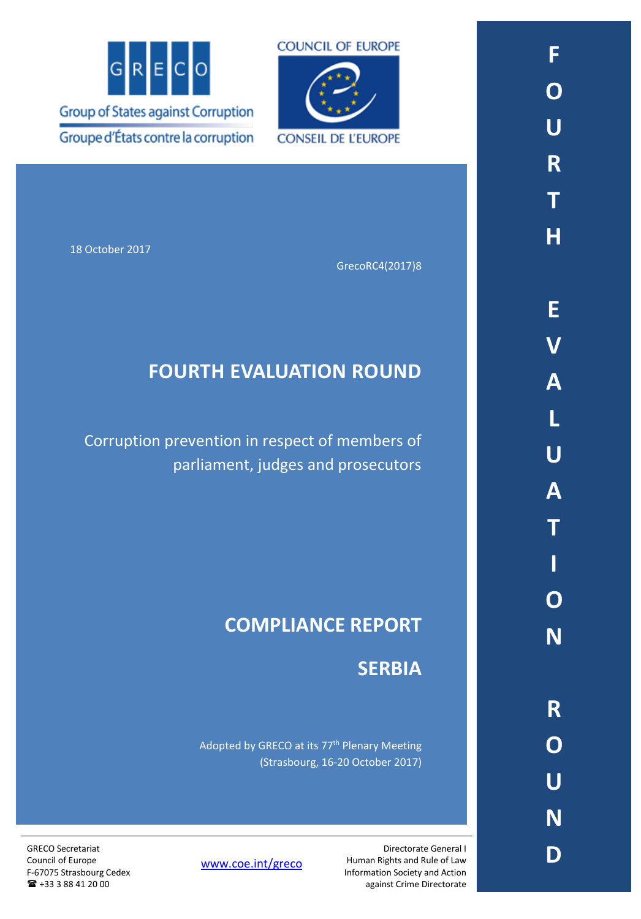



18 October 2017

GrecoRC4(2017)8

# **FOURTH EVALUATION ROUND**

Corruption prevention in respect of members of parliament, judges and prosecutors

# **COMPLIANCE REPORT**

## **SERBIA**

Directorate General I

Human Rights and Rule of Law Information Society and Action against Crime Directorate

Adopted by GRECO at its 77<sup>th</sup> Plenary Meeting (Strasbourg, 16-20 October 2017)

[www.coe.int/greco](http://www.coe.int/greco)

GRECO Secretariat Council of Europe F-67075 Strasbourg Cedex +33 3 88 41 20 00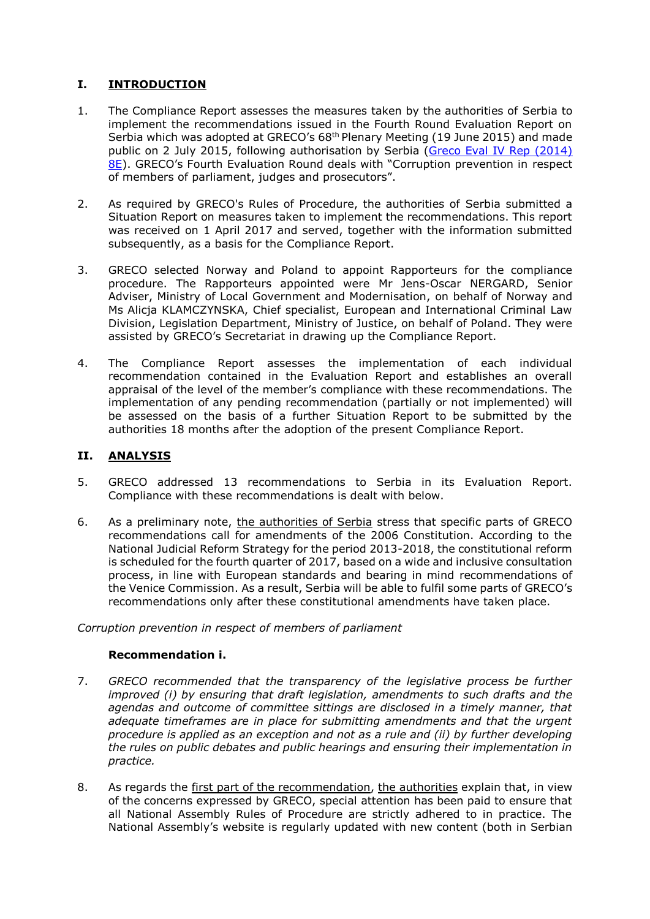## **I. INTRODUCTION**

- 1. The Compliance Report assesses the measures taken by the authorities of Serbia to implement the recommendations issued in the Fourth Round Evaluation Report on Serbia which was adopted at GRECO's 68<sup>th</sup> Plenary Meeting (19 June 2015) and made public on 2 July 2015, following authorisation by Serbia [\(Greco Eval IV Rep \(2014\)](https://rm.coe.int/CoERMPublicCommonSearchServices/DisplayDCTMContent?documentId=09000016806ca35d)  [8E](https://rm.coe.int/CoERMPublicCommonSearchServices/DisplayDCTMContent?documentId=09000016806ca35d)). GRECO's Fourth Evaluation Round deals with "Corruption prevention in respect of members of parliament, judges and prosecutors".
- 2. As required by GRECO's Rules of Procedure, the authorities of Serbia submitted a Situation Report on measures taken to implement the recommendations. This report was received on 1 April 2017 and served, together with the information submitted subsequently, as a basis for the Compliance Report.
- 3. GRECO selected Norway and Poland to appoint Rapporteurs for the compliance procedure. The Rapporteurs appointed were Mr Jens-Oscar NERGARD, Senior Adviser, Ministry of Local Government and Modernisation, on behalf of Norway and Ms Alicja KLAMCZYNSKA, Chief specialist, European and International Criminal Law Division, Legislation Department, Ministry of Justice, on behalf of Poland. They were assisted by GRECO's Secretariat in drawing up the Compliance Report.
- 4. The Compliance Report assesses the implementation of each individual recommendation contained in the Evaluation Report and establishes an overall appraisal of the level of the member's compliance with these recommendations. The implementation of any pending recommendation (partially or not implemented) will be assessed on the basis of a further Situation Report to be submitted by the authorities 18 months after the adoption of the present Compliance Report.

## **II. ANALYSIS**

- 5. GRECO addressed 13 recommendations to Serbia in its Evaluation Report. Compliance with these recommendations is dealt with below.
- 6. As a preliminary note, the authorities of Serbia stress that specific parts of GRECO recommendations call for amendments of the 2006 Constitution. According to the National Judicial Reform Strategy for the period 2013-2018, the constitutional reform is scheduled for the fourth quarter of 2017, based on a wide and inclusive consultation process, in line with European standards and bearing in mind recommendations of the Venice Commission. As a result, Serbia will be able to fulfil some parts of GRECO's recommendations only after these constitutional amendments have taken place.

*Corruption prevention in respect of members of parliament*

## **Recommendation i.**

- 7. *GRECO recommended that the transparency of the legislative process be further improved (i) by ensuring that draft legislation, amendments to such drafts and the* agendas and outcome of committee sittings are disclosed in a timely manner, that *adequate timeframes are in place for submitting amendments and that the urgent procedure is applied as an exception and not as a rule and (ii) by further developing the rules on public debates and public hearings and ensuring their implementation in practice.*
- 8. As regards the first part of the recommendation, the authorities explain that, in view of the concerns expressed by GRECO, special attention has been paid to ensure that all National Assembly Rules of Procedure are strictly adhered to in practice. The National Assembly's website is regularly updated with new content (both in Serbian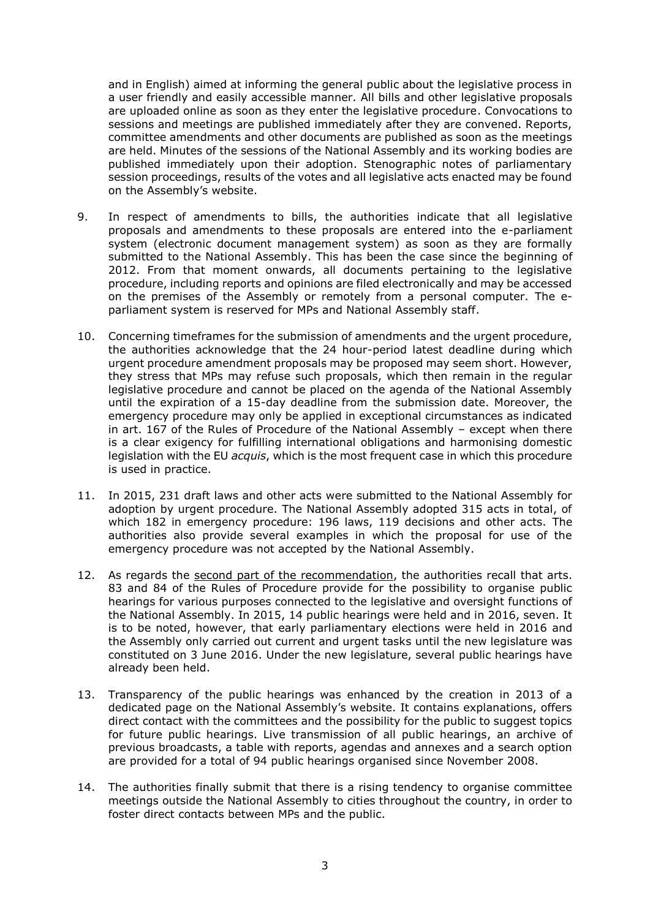and in English) aimed at informing the general public about the legislative process in a user friendly and easily accessible manner. All bills and other legislative proposals are uploaded online as soon as they enter the legislative procedure. Convocations to sessions and meetings are published immediately after they are convened. Reports, committee amendments and other documents are published as soon as the meetings are held. Minutes of the sessions of the National Assembly and its working bodies are published immediately upon their adoption. Stenographic notes of parliamentary session proceedings, results of the votes and all legislative acts enacted may be found on the Assembly's website.

- 9. In respect of amendments to bills, the authorities indicate that all legislative proposals and amendments to these proposals are entered into the e-parliament system (electronic document management system) as soon as they are formally submitted to the National Assembly. This has been the case since the beginning of 2012. From that moment onwards, all documents pertaining to the legislative procedure, including reports and opinions are filed electronically and may be accessed on the premises of the Assembly or remotely from a personal computer. The eparliament system is reserved for MPs and National Assembly staff.
- 10. Concerning timeframes for the submission of amendments and the urgent procedure, the authorities acknowledge that the 24 hour-period latest deadline during which urgent procedure amendment proposals may be proposed may seem short. However, they stress that MPs may refuse such proposals, which then remain in the regular legislative procedure and cannot be placed on the agenda of the National Assembly until the expiration of a 15-day deadline from the submission date. Moreover, the emergency procedure may only be applied in exceptional circumstances as indicated in art. 167 of the Rules of Procedure of the National Assembly – except when there is a clear exigency for fulfilling international obligations and harmonising domestic legislation with the EU *acquis*, which is the most frequent case in which this procedure is used in practice.
- 11. In 2015, 231 draft laws and other acts were submitted to the National Assembly for adoption by urgent procedure. The National Assembly adopted 315 acts in total, of which 182 in emergency procedure: 196 laws, 119 decisions and other acts. The authorities also provide several examples in which the proposal for use of the emergency procedure was not accepted by the National Assembly.
- 12. As regards the second part of the recommendation, the authorities recall that arts. 83 and 84 of the Rules of Procedure provide for the possibility to organise public hearings for various purposes connected to the legislative and oversight functions of the National Assembly. In 2015, 14 public hearings were held and in 2016, seven. It is to be noted, however, that early parliamentary elections were held in 2016 and the Assembly only carried out current and urgent tasks until the new legislature was constituted on 3 June 2016. Under the new legislature, several public hearings have already been held.
- 13. Transparency of the public hearings was enhanced by the creation in 2013 of a dedicated page on the National Assembly's website. It contains explanations, offers direct contact with the committees and the possibility for the public to suggest topics for future public hearings. Live transmission of all public hearings, an archive of previous broadcasts, a table with reports, agendas and annexes and a search option are provided for a total of 94 public hearings organised since November 2008.
- 14. The authorities finally submit that there is a rising tendency to organise committee meetings outside the National Assembly to cities throughout the country, in order to foster direct contacts between MPs and the public.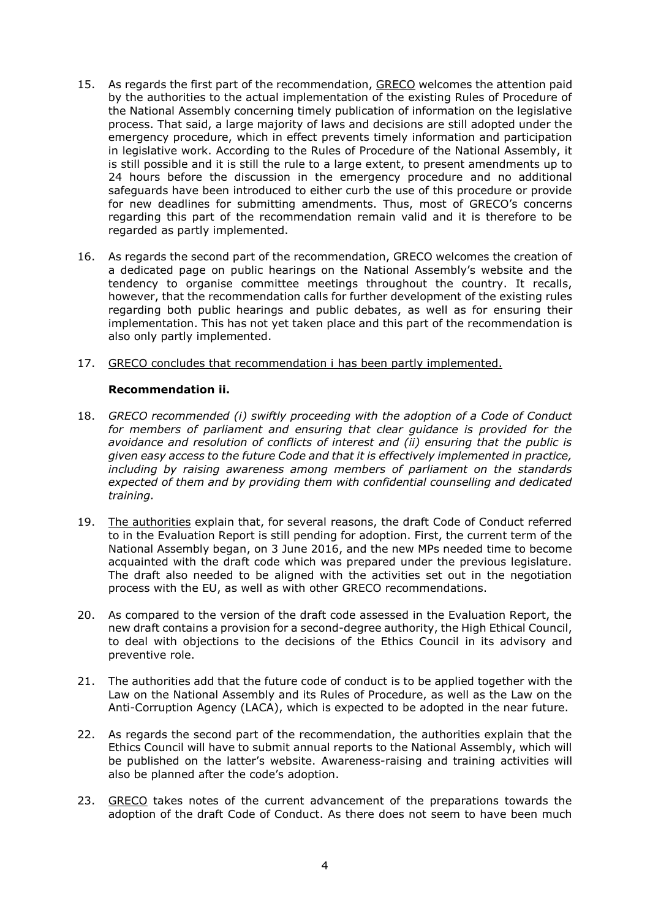- 15. As regards the first part of the recommendation, GRECO welcomes the attention paid by the authorities to the actual implementation of the existing Rules of Procedure of the National Assembly concerning timely publication of information on the legislative process. That said, a large majority of laws and decisions are still adopted under the emergency procedure, which in effect prevents timely information and participation in legislative work. According to the Rules of Procedure of the National Assembly, it is still possible and it is still the rule to a large extent, to present amendments up to 24 hours before the discussion in the emergency procedure and no additional safeguards have been introduced to either curb the use of this procedure or provide for new deadlines for submitting amendments. Thus, most of GRECO's concerns regarding this part of the recommendation remain valid and it is therefore to be regarded as partly implemented.
- 16. As regards the second part of the recommendation, GRECO welcomes the creation of a dedicated page on public hearings on the National Assembly's website and the tendency to organise committee meetings throughout the country. It recalls, however, that the recommendation calls for further development of the existing rules regarding both public hearings and public debates, as well as for ensuring their implementation. This has not yet taken place and this part of the recommendation is also only partly implemented.
- 17. GRECO concludes that recommendation i has been partly implemented.

## **Recommendation ii.**

- 18. *GRECO recommended (i) swiftly proceeding with the adoption of a Code of Conduct*  for members of parliament and ensuring that clear guidance is provided for the *avoidance and resolution of conflicts of interest and (ii) ensuring that the public is given easy access to the future Code and that it is effectively implemented in practice, including by raising awareness among members of parliament on the standards expected of them and by providing them with confidential counselling and dedicated training.*
- 19. The authorities explain that, for several reasons, the draft Code of Conduct referred to in the Evaluation Report is still pending for adoption. First, the current term of the National Assembly began, on 3 June 2016, and the new MPs needed time to become acquainted with the draft code which was prepared under the previous legislature. The draft also needed to be aligned with the activities set out in the negotiation process with the EU, as well as with other GRECO recommendations.
- 20. As compared to the version of the draft code assessed in the Evaluation Report, the new draft contains a provision for a second-degree authority, the High Ethical Council, to deal with objections to the decisions of the Ethics Council in its advisory and preventive role.
- 21. The authorities add that the future code of conduct is to be applied together with the Law on the National Assembly and its Rules of Procedure, as well as the Law on the Anti-Corruption Agency (LACA), which is expected to be adopted in the near future.
- 22. As regards the second part of the recommendation, the authorities explain that the Ethics Council will have to submit annual reports to the National Assembly, which will be published on the latter's website. Awareness-raising and training activities will also be planned after the code's adoption.
- 23. GRECO takes notes of the current advancement of the preparations towards the adoption of the draft Code of Conduct. As there does not seem to have been much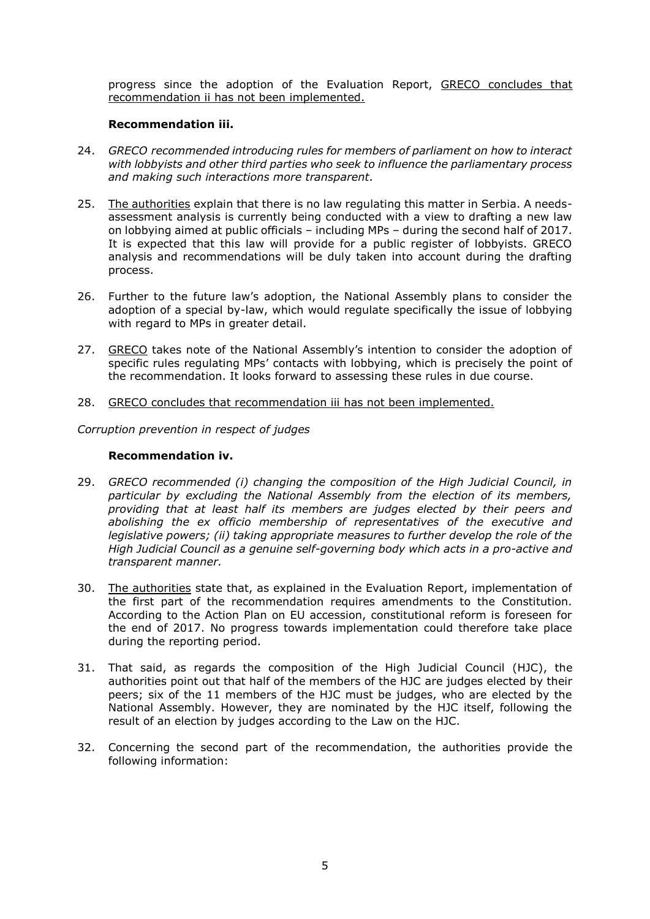progress since the adoption of the Evaluation Report, GRECO concludes that recommendation ii has not been implemented.

#### **Recommendation iii.**

- 24. *GRECO recommended introducing rules for members of parliament on how to interact with lobbyists and other third parties who seek to influence the parliamentary process and making such interactions more transparent.*
- 25. The authorities explain that there is no law regulating this matter in Serbia. A needsassessment analysis is currently being conducted with a view to drafting a new law on lobbying aimed at public officials – including MPs – during the second half of 2017. It is expected that this law will provide for a public register of lobbyists. GRECO analysis and recommendations will be duly taken into account during the drafting process.
- 26. Further to the future law's adoption, the National Assembly plans to consider the adoption of a special by-law, which would regulate specifically the issue of lobbying with regard to MPs in greater detail.
- 27. GRECO takes note of the National Assembly's intention to consider the adoption of specific rules regulating MPs' contacts with lobbying, which is precisely the point of the recommendation. It looks forward to assessing these rules in due course.
- 28. GRECO concludes that recommendation iii has not been implemented.

*Corruption prevention in respect of judges*

#### **Recommendation iv.**

- 29. *GRECO recommended (i) changing the composition of the High Judicial Council, in particular by excluding the National Assembly from the election of its members, providing that at least half its members are judges elected by their peers and abolishing the ex officio membership of representatives of the executive and legislative powers; (ii) taking appropriate measures to further develop the role of the High Judicial Council as a genuine self-governing body which acts in a pro-active and transparent manner.*
- 30. The authorities state that, as explained in the Evaluation Report, implementation of the first part of the recommendation requires amendments to the Constitution. According to the Action Plan on EU accession, constitutional reform is foreseen for the end of 2017. No progress towards implementation could therefore take place during the reporting period.
- 31. That said, as regards the composition of the High Judicial Council (HJC), the authorities point out that half of the members of the HJC are judges elected by their peers; six of the 11 members of the HJC must be judges, who are elected by the National Assembly. However, they are nominated by the HJC itself, following the result of an election by judges according to the Law on the HJC.
- 32. Concerning the second part of the recommendation, the authorities provide the following information: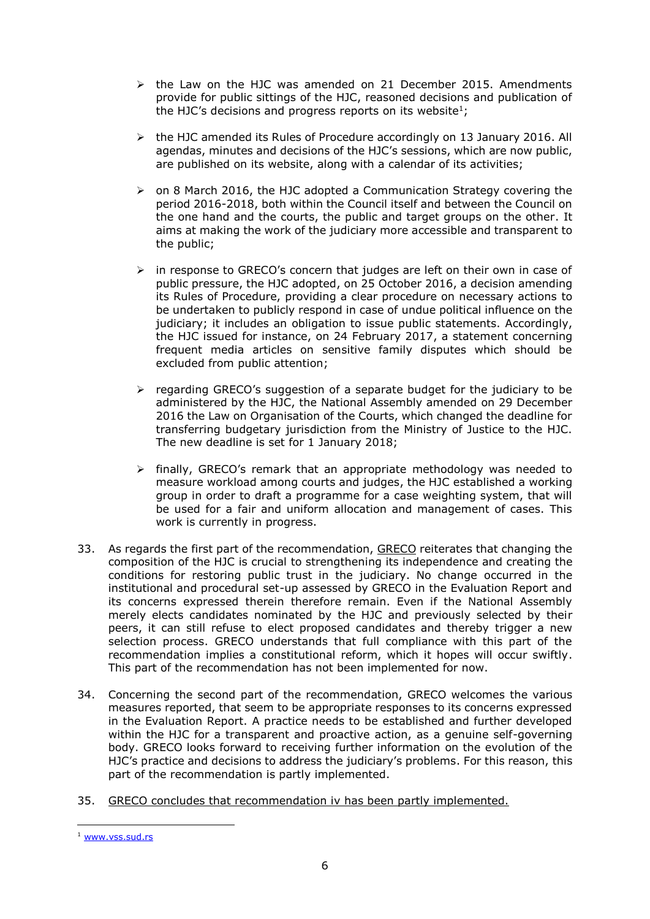- $\triangleright$  the Law on the HJC was amended on 21 December 2015. Amendments provide for public sittings of the HJC, reasoned decisions and publication of the HJC's decisions and progress reports on its website<sup>1</sup>;
- $\triangleright$  the HJC amended its Rules of Procedure accordingly on 13 January 2016. All agendas, minutes and decisions of the HJC's sessions, which are now public, are published on its website, along with a calendar of its activities;
- $\triangleright$  on 8 March 2016, the HJC adopted a Communication Strategy covering the period 2016-2018, both within the Council itself and between the Council on the one hand and the courts, the public and target groups on the other. It aims at making the work of the judiciary more accessible and transparent to the public;
- $\triangleright$  in response to GRECO's concern that judges are left on their own in case of public pressure, the HJC adopted, on 25 October 2016, a decision amending its Rules of Procedure, providing a clear procedure on necessary actions to be undertaken to publicly respond in case of undue political influence on the judiciary; it includes an obligation to issue public statements. Accordingly, the HJC issued for instance, on 24 February 2017, a statement concerning frequent media articles on sensitive family disputes which should be excluded from public attention;
- $\triangleright$  regarding GRECO's suggestion of a separate budget for the judiciary to be administered by the HJC, the National Assembly amended on 29 December 2016 the Law on Organisation of the Courts, which changed the deadline for transferring budgetary jurisdiction from the Ministry of Justice to the HJC. The new deadline is set for 1 January 2018;
- $\triangleright$  finally, GRECO's remark that an appropriate methodology was needed to measure workload among courts and judges, the HJC established a working group in order to draft a programme for a case weighting system, that will be used for a fair and uniform allocation and management of cases. This work is currently in progress.
- 33. As regards the first part of the recommendation, GRECO reiterates that changing the composition of the HJC is crucial to strengthening its independence and creating the conditions for restoring public trust in the judiciary. No change occurred in the institutional and procedural set-up assessed by GRECO in the Evaluation Report and its concerns expressed therein therefore remain. Even if the National Assembly merely elects candidates nominated by the HJC and previously selected by their peers, it can still refuse to elect proposed candidates and thereby trigger a new selection process. GRECO understands that full compliance with this part of the recommendation implies a constitutional reform, which it hopes will occur swiftly. This part of the recommendation has not been implemented for now.
- 34. Concerning the second part of the recommendation, GRECO welcomes the various measures reported, that seem to be appropriate responses to its concerns expressed in the Evaluation Report. A practice needs to be established and further developed within the HJC for a transparent and proactive action, as a genuine self-governing body. GRECO looks forward to receiving further information on the evolution of the HJC's practice and decisions to address the judiciary's problems. For this reason, this part of the recommendation is partly implemented.
- 35. GRECO concludes that recommendation iv has been partly implemented.

 $\overline{a}$ <sup>1</sup> [www.vss.sud.rs](http://www.vss.sud.rs/)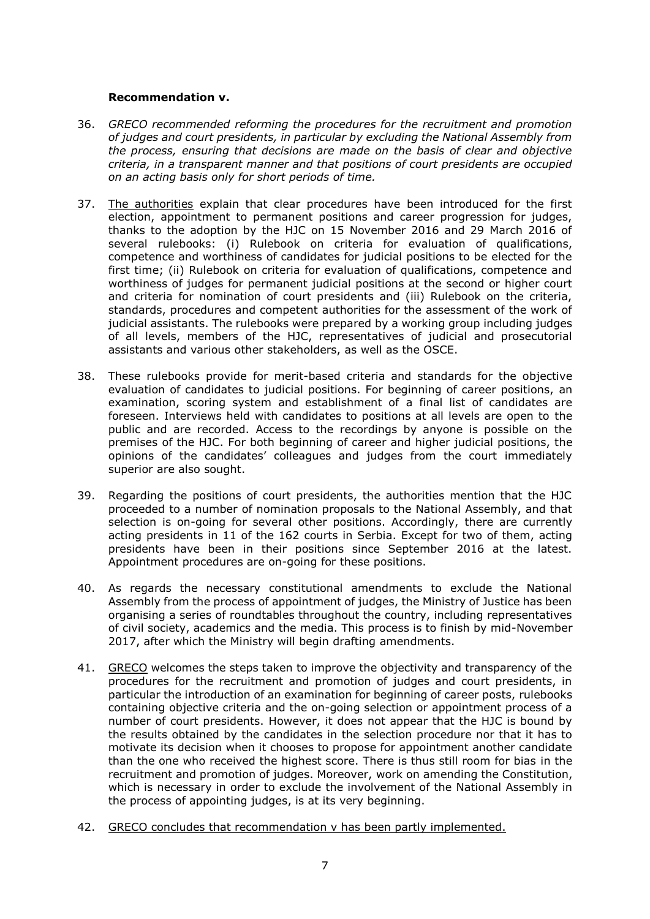#### **Recommendation v.**

- 36. *GRECO recommended reforming the procedures for the recruitment and promotion of judges and court presidents, in particular by excluding the National Assembly from the process, ensuring that decisions are made on the basis of clear and objective criteria, in a transparent manner and that positions of court presidents are occupied on an acting basis only for short periods of time.*
- 37. The authorities explain that clear procedures have been introduced for the first election, appointment to permanent positions and career progression for judges, thanks to the adoption by the HJC on 15 November 2016 and 29 March 2016 of several rulebooks: (i) Rulebook on criteria for evaluation of qualifications, competence and worthiness of candidates for judicial positions to be elected for the first time; (ii) Rulebook on criteria for evaluation of qualifications, competence and worthiness of judges for permanent judicial positions at the second or higher court and criteria for nomination of court presidents and (iii) Rulebook on the criteria, standards, procedures and competent authorities for the assessment of the work of judicial assistants. The rulebooks were prepared by a working group including judges of all levels, members of the HJC, representatives of judicial and prosecutorial assistants and various other stakeholders, as well as the OSCE.
- 38. These rulebooks provide for merit-based criteria and standards for the objective evaluation of candidates to judicial positions. For beginning of career positions, an examination, scoring system and establishment of a final list of candidates are foreseen. Interviews held with candidates to positions at all levels are open to the public and are recorded. Access to the recordings by anyone is possible on the premises of the HJC. For both beginning of career and higher judicial positions, the opinions of the candidates' colleagues and judges from the court immediately superior are also sought.
- 39. Regarding the positions of court presidents, the authorities mention that the HJC proceeded to a number of nomination proposals to the National Assembly, and that selection is on-going for several other positions. Accordingly, there are currently acting presidents in 11 of the 162 courts in Serbia. Except for two of them, acting presidents have been in their positions since September 2016 at the latest. Appointment procedures are on-going for these positions.
- 40. As regards the necessary constitutional amendments to exclude the National Assembly from the process of appointment of judges, the Ministry of Justice has been organising a series of roundtables throughout the country, including representatives of civil society, academics and the media. This process is to finish by mid-November 2017, after which the Ministry will begin drafting amendments.
- 41. GRECO welcomes the steps taken to improve the objectivity and transparency of the procedures for the recruitment and promotion of judges and court presidents, in particular the introduction of an examination for beginning of career posts, rulebooks containing objective criteria and the on-going selection or appointment process of a number of court presidents. However, it does not appear that the HJC is bound by the results obtained by the candidates in the selection procedure nor that it has to motivate its decision when it chooses to propose for appointment another candidate than the one who received the highest score. There is thus still room for bias in the recruitment and promotion of judges. Moreover, work on amending the Constitution, which is necessary in order to exclude the involvement of the National Assembly in the process of appointing judges, is at its very beginning.
- 42. GRECO concludes that recommendation v has been partly implemented.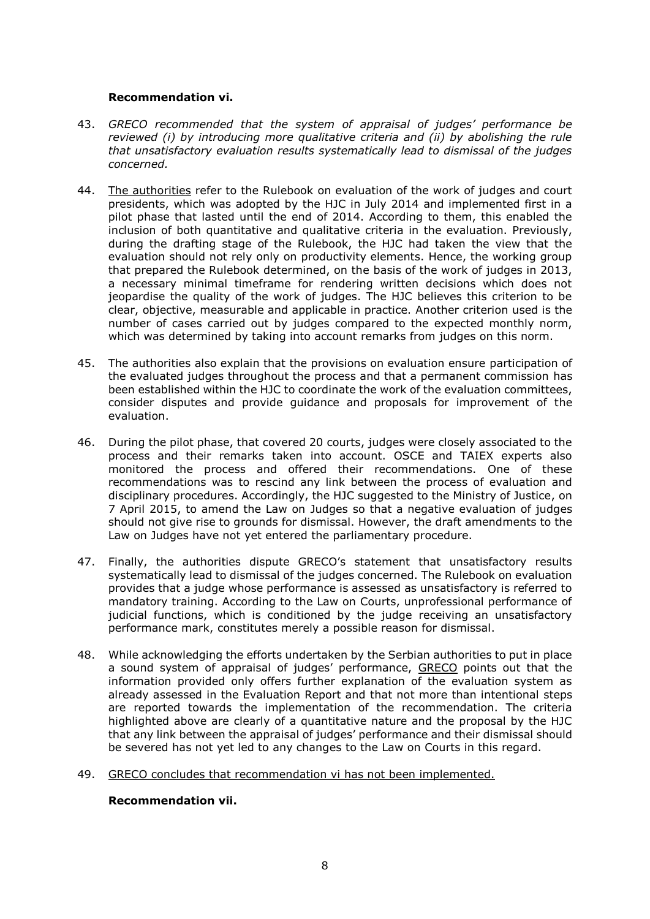#### **Recommendation vi.**

- 43. *GRECO recommended that the system of appraisal of judges' performance be reviewed (i) by introducing more qualitative criteria and (ii) by abolishing the rule that unsatisfactory evaluation results systematically lead to dismissal of the judges concerned.*
- 44. The authorities refer to the Rulebook on evaluation of the work of judges and court presidents, which was adopted by the HJC in July 2014 and implemented first in a pilot phase that lasted until the end of 2014. According to them, this enabled the inclusion of both quantitative and qualitative criteria in the evaluation. Previously, during the drafting stage of the Rulebook, the HJC had taken the view that the evaluation should not rely only on productivity elements. Hence, the working group that prepared the Rulebook determined, on the basis of the work of judges in 2013, a necessary minimal timeframe for rendering written decisions which does not jeopardise the quality of the work of judges. The HJC believes this criterion to be clear, objective, measurable and applicable in practice. Another criterion used is the number of cases carried out by judges compared to the expected monthly norm, which was determined by taking into account remarks from judges on this norm.
- 45. The authorities also explain that the provisions on evaluation ensure participation of the evaluated judges throughout the process and that a permanent commission has been established within the HJC to coordinate the work of the evaluation committees, consider disputes and provide guidance and proposals for improvement of the evaluation.
- 46. During the pilot phase, that covered 20 courts, judges were closely associated to the process and their remarks taken into account. OSCE and TAIEX experts also monitored the process and offered their recommendations. One of these recommendations was to rescind any link between the process of evaluation and disciplinary procedures. Accordingly, the HJC suggested to the Ministry of Justice, on 7 April 2015, to amend the Law on Judges so that a negative evaluation of judges should not give rise to grounds for dismissal. However, the draft amendments to the Law on Judges have not yet entered the parliamentary procedure.
- 47. Finally, the authorities dispute GRECO's statement that unsatisfactory results systematically lead to dismissal of the judges concerned. The Rulebook on evaluation provides that a judge whose performance is assessed as unsatisfactory is referred to mandatory training. According to the Law on Courts, unprofessional performance of judicial functions, which is conditioned by the judge receiving an unsatisfactory performance mark, constitutes merely a possible reason for dismissal.
- 48. While acknowledging the efforts undertaken by the Serbian authorities to put in place a sound system of appraisal of judges' performance, GRECO points out that the information provided only offers further explanation of the evaluation system as already assessed in the Evaluation Report and that not more than intentional steps are reported towards the implementation of the recommendation. The criteria highlighted above are clearly of a quantitative nature and the proposal by the HJC that any link between the appraisal of judges' performance and their dismissal should be severed has not yet led to any changes to the Law on Courts in this regard.
- 49. GRECO concludes that recommendation vi has not been implemented.

#### **Recommendation vii.**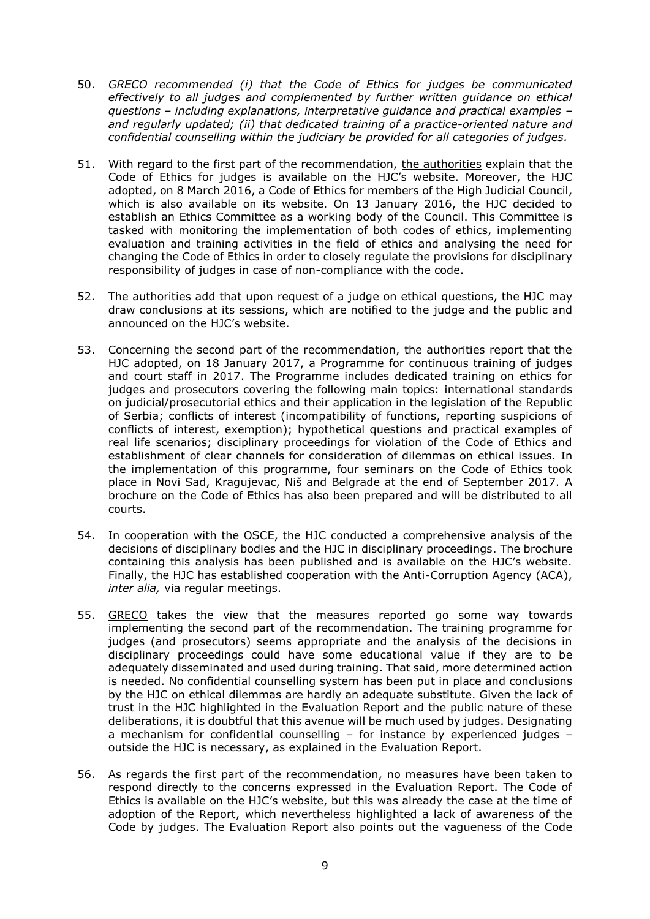- 50. *GRECO recommended (i) that the Code of Ethics for judges be communicated effectively to all judges and complemented by further written guidance on ethical questions – including explanations, interpretative guidance and practical examples – and regularly updated; (ii) that dedicated training of a practice-oriented nature and confidential counselling within the judiciary be provided for all categories of judges.*
- 51. With regard to the first part of the recommendation, the authorities explain that the Code of Ethics for judges is available on the HJC's website. Moreover, the HJC adopted, on 8 March 2016, a Code of Ethics for members of the High Judicial Council, which is also available on its website. On 13 January 2016, the HJC decided to establish an Ethics Committee as a working body of the Council. This Committee is tasked with monitoring the implementation of both codes of ethics, implementing evaluation and training activities in the field of ethics and analysing the need for changing the Code of Ethics in order to closely regulate the provisions for disciplinary responsibility of judges in case of non-compliance with the code.
- 52. The authorities add that upon request of a judge on ethical questions, the HJC may draw conclusions at its sessions, which are notified to the judge and the public and announced on the HJC's website.
- 53. Concerning the second part of the recommendation, the authorities report that the HJC adopted, on 18 January 2017, a Programme for continuous training of judges and court staff in 2017. The Programme includes dedicated training on ethics for judges and prosecutors covering the following main topics: international standards on judicial/prosecutorial ethics and their application in the legislation of the Republic of Serbia; conflicts of interest (incompatibility of functions, reporting suspicions of conflicts of interest, exemption); hypothetical questions and practical examples of real life scenarios; disciplinary proceedings for violation of the Code of Ethics and establishment of clear channels for consideration of dilemmas on ethical issues. In the implementation of this programme, four seminars on the Code of Ethics took place in Novi Sad, Kragujevac, Niš and Belgrade at the end of September 2017. A brochure on the Code of Ethics has also been prepared and will be distributed to all courts.
- 54. In cooperation with the OSCE, the HJC conducted a comprehensive analysis of the decisions of disciplinary bodies and the HJC in disciplinary proceedings. The brochure containing this analysis has been published and is available on the HJC's website. Finally, the HJC has established cooperation with the Anti-Corruption Agency (ACA), *inter alia,* via regular meetings.
- 55. GRECO takes the view that the measures reported go some way towards implementing the second part of the recommendation. The training programme for judges (and prosecutors) seems appropriate and the analysis of the decisions in disciplinary proceedings could have some educational value if they are to be adequately disseminated and used during training. That said, more determined action is needed. No confidential counselling system has been put in place and conclusions by the HJC on ethical dilemmas are hardly an adequate substitute. Given the lack of trust in the HJC highlighted in the Evaluation Report and the public nature of these deliberations, it is doubtful that this avenue will be much used by judges. Designating a mechanism for confidential counselling – for instance by experienced judges – outside the HJC is necessary, as explained in the Evaluation Report.
- 56. As regards the first part of the recommendation, no measures have been taken to respond directly to the concerns expressed in the Evaluation Report. The Code of Ethics is available on the HJC's website, but this was already the case at the time of adoption of the Report, which nevertheless highlighted a lack of awareness of the Code by judges. The Evaluation Report also points out the vagueness of the Code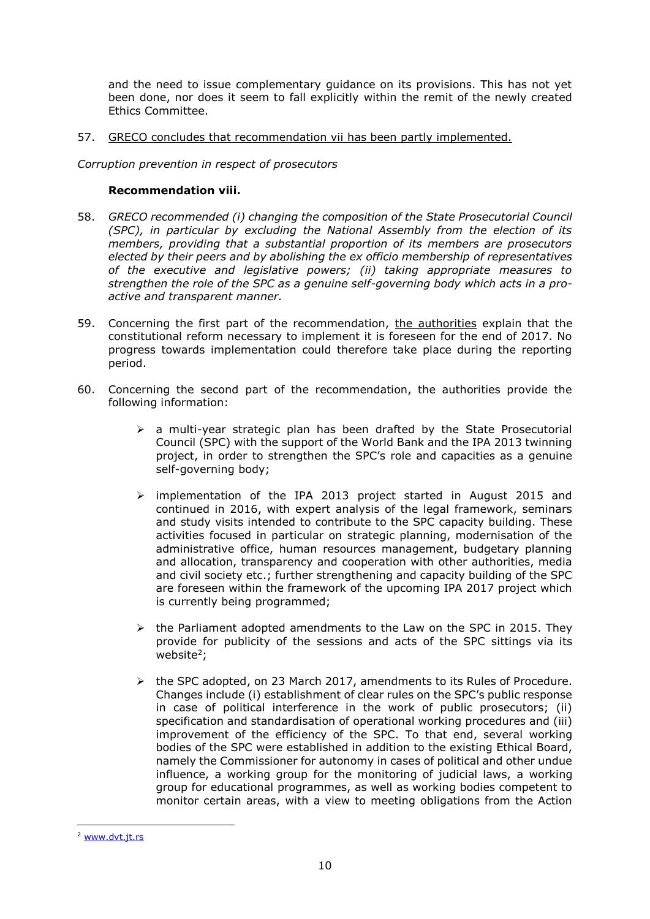and the need to issue complementary guidance on its provisions. This has not yet been done, nor does it seem to fall explicitly within the remit of the newly created Ethics Committee.

57. GRECO concludes that recommendation vii has been partly implemented.

*Corruption prevention in respect of prosecutors*

#### **Recommendation viii.**

- 58. *GRECO recommended (i) changing the composition of the State Prosecutorial Council (SPC), in particular by excluding the National Assembly from the election of its members, providing that a substantial proportion of its members are prosecutors elected by their peers and by abolishing the ex officio membership of representatives of the executive and legislative powers; (ii) taking appropriate measures to strengthen the role of the SPC as a genuine self-governing body which acts in a proactive and transparent manner.*
- 59. Concerning the first part of the recommendation, the authorities explain that the constitutional reform necessary to implement it is foreseen for the end of 2017. No progress towards implementation could therefore take place during the reporting period.
- 60. Concerning the second part of the recommendation, the authorities provide the following information:
	- $\triangleright$  a multi-year strategic plan has been drafted by the State Prosecutorial Council (SPC) with the support of the World Bank and the IPA 2013 twinning project, in order to strengthen the SPC's role and capacities as a genuine self-governing body;
	- implementation of the IPA 2013 project started in August 2015 and continued in 2016, with expert analysis of the legal framework, seminars and study visits intended to contribute to the SPC capacity building. These activities focused in particular on strategic planning, modernisation of the administrative office, human resources management, budgetary planning and allocation, transparency and cooperation with other authorities, media and civil society etc.; further strengthening and capacity building of the SPC are foreseen within the framework of the upcoming IPA 2017 project which is currently being programmed;
	- $\triangleright$  the Parliament adopted amendments to the Law on the SPC in 2015. They provide for publicity of the sessions and acts of the SPC sittings via its website<sup>2</sup>;
	- $\triangleright$  the SPC adopted, on 23 March 2017, amendments to its Rules of Procedure. Changes include (i) establishment of clear rules on the SPC's public response in case of political interference in the work of public prosecutors; (ii) specification and standardisation of operational working procedures and (iii) improvement of the efficiency of the SPC. To that end, several working bodies of the SPC were established in addition to the existing Ethical Board, namely the Commissioner for autonomy in cases of political and other undue influence, a working group for the monitoring of judicial laws, a working group for educational programmes, as well as working bodies competent to monitor certain areas, with a view to meeting obligations from the Action

 $\overline{a}$ <sup>2</sup> [www.dvt.jt.rs](http://www.dvt.jt.rs/)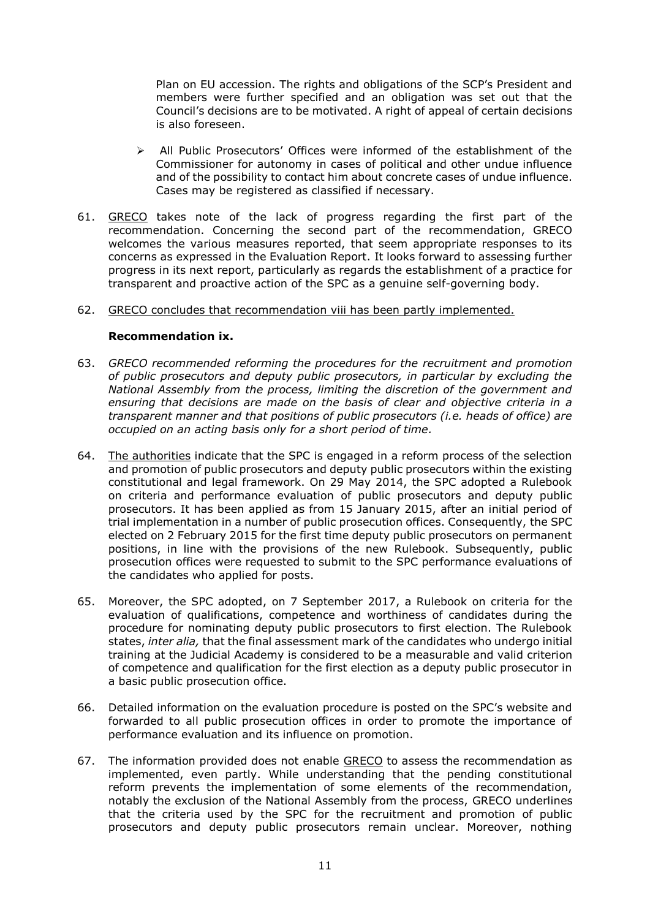Plan on EU accession. The rights and obligations of the SCP's President and members were further specified and an obligation was set out that the Council's decisions are to be motivated. A right of appeal of certain decisions is also foreseen.

- $\triangleright$  All Public Prosecutors' Offices were informed of the establishment of the Commissioner for autonomy in cases of political and other undue influence and of the possibility to contact him about concrete cases of undue influence. Cases may be registered as classified if necessary.
- 61. GRECO takes note of the lack of progress regarding the first part of the recommendation. Concerning the second part of the recommendation, GRECO welcomes the various measures reported, that seem appropriate responses to its concerns as expressed in the Evaluation Report. It looks forward to assessing further progress in its next report, particularly as regards the establishment of a practice for transparent and proactive action of the SPC as a genuine self-governing body.

#### 62. GRECO concludes that recommendation viii has been partly implemented.

#### **Recommendation ix.**

- 63. *GRECO recommended reforming the procedures for the recruitment and promotion of public prosecutors and deputy public prosecutors, in particular by excluding the National Assembly from the process, limiting the discretion of the government and ensuring that decisions are made on the basis of clear and objective criteria in a transparent manner and that positions of public prosecutors (i.e. heads of office) are occupied on an acting basis only for a short period of time.*
- 64. The authorities indicate that the SPC is engaged in a reform process of the selection and promotion of public prosecutors and deputy public prosecutors within the existing constitutional and legal framework. On 29 May 2014, the SPC adopted a Rulebook on criteria and performance evaluation of public prosecutors and deputy public prosecutors. It has been applied as from 15 January 2015, after an initial period of trial implementation in a number of public prosecution offices. Consequently, the SPC elected on 2 February 2015 for the first time deputy public prosecutors on permanent positions, in line with the provisions of the new Rulebook. Subsequently, public prosecution offices were requested to submit to the SPC performance evaluations of the candidates who applied for posts.
- 65. Moreover, the SPC adopted, on 7 September 2017, a Rulebook on criteria for the evaluation of qualifications, competence and worthiness of candidates during the procedure for nominating deputy public prosecutors to first election. The Rulebook states, *inter alia,* that the final assessment mark of the candidates who undergo initial training at the Judicial Academy is considered to be a measurable and valid criterion of competence and qualification for the first election as a deputy public prosecutor in a basic public prosecution office.
- 66. Detailed information on the evaluation procedure is posted on the SPC's website and forwarded to all public prosecution offices in order to promote the importance of performance evaluation and its influence on promotion.
- 67. The information provided does not enable GRECO to assess the recommendation as implemented, even partly. While understanding that the pending constitutional reform prevents the implementation of some elements of the recommendation, notably the exclusion of the National Assembly from the process, GRECO underlines that the criteria used by the SPC for the recruitment and promotion of public prosecutors and deputy public prosecutors remain unclear. Moreover, nothing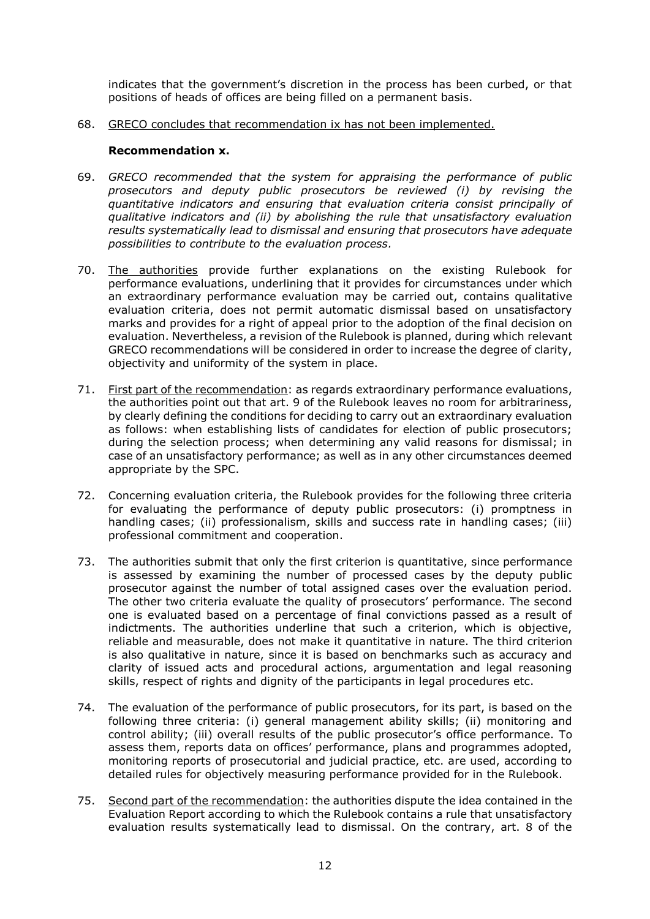indicates that the government's discretion in the process has been curbed, or that positions of heads of offices are being filled on a permanent basis.

68. GRECO concludes that recommendation ix has not been implemented.

#### **Recommendation x.**

- 69. *GRECO recommended that the system for appraising the performance of public prosecutors and deputy public prosecutors be reviewed (i) by revising the quantitative indicators and ensuring that evaluation criteria consist principally of qualitative indicators and (ii) by abolishing the rule that unsatisfactory evaluation results systematically lead to dismissal and ensuring that prosecutors have adequate possibilities to contribute to the evaluation process.*
- 70. The authorities provide further explanations on the existing Rulebook for performance evaluations, underlining that it provides for circumstances under which an extraordinary performance evaluation may be carried out, contains qualitative evaluation criteria, does not permit automatic dismissal based on unsatisfactory marks and provides for a right of appeal prior to the adoption of the final decision on evaluation. Nevertheless, a revision of the Rulebook is planned, during which relevant GRECO recommendations will be considered in order to increase the degree of clarity, objectivity and uniformity of the system in place.
- 71. First part of the recommendation: as regards extraordinary performance evaluations, the authorities point out that art. 9 of the Rulebook leaves no room for arbitrariness, by clearly defining the conditions for deciding to carry out an extraordinary evaluation as follows: when establishing lists of candidates for election of public prosecutors; during the selection process; when determining any valid reasons for dismissal; in case of an unsatisfactory performance; as well as in any other circumstances deemed appropriate by the SPC.
- 72. Concerning evaluation criteria, the Rulebook provides for the following three criteria for evaluating the performance of deputy public prosecutors: (i) promptness in handling cases; (ii) professionalism, skills and success rate in handling cases; (iii) professional commitment and cooperation.
- 73. The authorities submit that only the first criterion is quantitative, since performance is assessed by examining the number of processed cases by the deputy public prosecutor against the number of total assigned cases over the evaluation period. The other two criteria evaluate the quality of prosecutors' performance. The second one is evaluated based on a percentage of final convictions passed as a result of indictments. The authorities underline that such a criterion, which is objective, reliable and measurable, does not make it quantitative in nature. The third criterion is also qualitative in nature, since it is based on benchmarks such as accuracy and clarity of issued acts and procedural actions, argumentation and legal reasoning skills, respect of rights and dignity of the participants in legal procedures etc.
- 74. The evaluation of the performance of public prosecutors, for its part, is based on the following three criteria: (i) general management ability skills; (ii) monitoring and control ability; (iii) overall results of the public prosecutor's office performance. To assess them, reports data on offices' performance, plans and programmes adopted, monitoring reports of prosecutorial and judicial practice, etc. are used, according to detailed rules for objectively measuring performance provided for in the Rulebook.
- 75. Second part of the recommendation: the authorities dispute the idea contained in the Evaluation Report according to which the Rulebook contains a rule that unsatisfactory evaluation results systematically lead to dismissal. On the contrary, art. 8 of the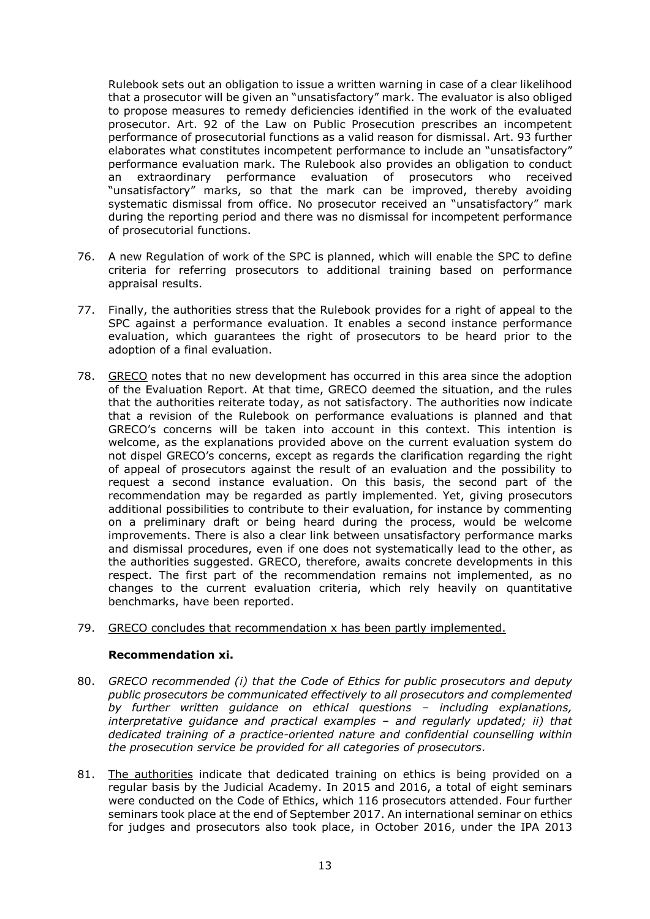Rulebook sets out an obligation to issue a written warning in case of a clear likelihood that a prosecutor will be given an "unsatisfactory" mark. The evaluator is also obliged to propose measures to remedy deficiencies identified in the work of the evaluated prosecutor. Art. 92 of the Law on Public Prosecution prescribes an incompetent performance of prosecutorial functions as a valid reason for dismissal. Art. 93 further elaborates what constitutes incompetent performance to include an "unsatisfactory" performance evaluation mark. The Rulebook also provides an obligation to conduct an extraordinary performance evaluation of prosecutors who received "unsatisfactory" marks, so that the mark can be improved, thereby avoiding systematic dismissal from office. No prosecutor received an "unsatisfactory" mark during the reporting period and there was no dismissal for incompetent performance of prosecutorial functions.

- 76. A new Regulation of work of the SPC is planned, which will enable the SPC to define criteria for referring prosecutors to additional training based on performance appraisal results.
- 77. Finally, the authorities stress that the Rulebook provides for a right of appeal to the SPC against a performance evaluation. It enables a second instance performance evaluation, which guarantees the right of prosecutors to be heard prior to the adoption of a final evaluation.
- 78. GRECO notes that no new development has occurred in this area since the adoption of the Evaluation Report. At that time, GRECO deemed the situation, and the rules that the authorities reiterate today, as not satisfactory. The authorities now indicate that a revision of the Rulebook on performance evaluations is planned and that GRECO's concerns will be taken into account in this context. This intention is welcome, as the explanations provided above on the current evaluation system do not dispel GRECO's concerns, except as regards the clarification regarding the right of appeal of prosecutors against the result of an evaluation and the possibility to request a second instance evaluation. On this basis, the second part of the recommendation may be regarded as partly implemented. Yet, giving prosecutors additional possibilities to contribute to their evaluation, for instance by commenting on a preliminary draft or being heard during the process, would be welcome improvements. There is also a clear link between unsatisfactory performance marks and dismissal procedures, even if one does not systematically lead to the other, as the authorities suggested. GRECO, therefore, awaits concrete developments in this respect. The first part of the recommendation remains not implemented, as no changes to the current evaluation criteria, which rely heavily on quantitative benchmarks, have been reported.

## 79. GRECO concludes that recommendation x has been partly implemented.

#### **Recommendation xi.**

- 80. *GRECO recommended (i) that the Code of Ethics for public prosecutors and deputy public prosecutors be communicated effectively to all prosecutors and complemented by further written guidance on ethical questions – including explanations, interpretative guidance and practical examples – and regularly updated; ii) that dedicated training of a practice-oriented nature and confidential counselling within the prosecution service be provided for all categories of prosecutors.*
- 81. The authorities indicate that dedicated training on ethics is being provided on a regular basis by the Judicial Academy. In 2015 and 2016, a total of eight seminars were conducted on the Code of Ethics, which 116 prosecutors attended. Four further seminars took place at the end of September 2017. An international seminar on ethics for judges and prosecutors also took place, in October 2016, under the IPA 2013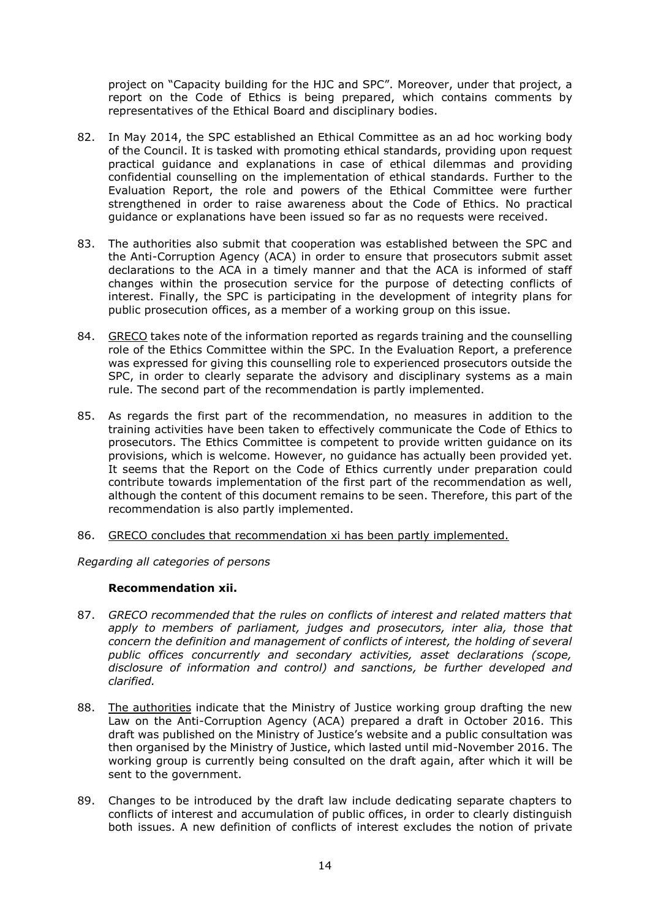project on "Capacity building for the HJC and SPC". Moreover, under that project, a report on the Code of Ethics is being prepared, which contains comments by representatives of the Ethical Board and disciplinary bodies.

- 82. In May 2014, the SPC established an Ethical Committee as an ad hoc working body of the Council. It is tasked with promoting ethical standards, providing upon request practical guidance and explanations in case of ethical dilemmas and providing confidential counselling on the implementation of ethical standards. Further to the Evaluation Report, the role and powers of the Ethical Committee were further strengthened in order to raise awareness about the Code of Ethics. No practical guidance or explanations have been issued so far as no requests were received.
- 83. The authorities also submit that cooperation was established between the SPC and the Anti-Corruption Agency (ACA) in order to ensure that prosecutors submit asset declarations to the ACA in a timely manner and that the ACA is informed of staff changes within the prosecution service for the purpose of detecting conflicts of interest. Finally, the SPC is participating in the development of integrity plans for public prosecution offices, as a member of a working group on this issue.
- 84. GRECO takes note of the information reported as regards training and the counselling role of the Ethics Committee within the SPC. In the Evaluation Report, a preference was expressed for giving this counselling role to experienced prosecutors outside the SPC, in order to clearly separate the advisory and disciplinary systems as a main rule. The second part of the recommendation is partly implemented.
- 85. As regards the first part of the recommendation, no measures in addition to the training activities have been taken to effectively communicate the Code of Ethics to prosecutors. The Ethics Committee is competent to provide written guidance on its provisions, which is welcome. However, no guidance has actually been provided yet. It seems that the Report on the Code of Ethics currently under preparation could contribute towards implementation of the first part of the recommendation as well, although the content of this document remains to be seen. Therefore, this part of the recommendation is also partly implemented.
- 86. GRECO concludes that recommendation xi has been partly implemented.

*Regarding all categories of persons*

#### **Recommendation xii.**

- 87. *GRECO recommended that the rules on conflicts of interest and related matters that*  apply to members of parliament, judges and prosecutors, inter alia, those that *concern the definition and management of conflicts of interest, the holding of several public offices concurrently and secondary activities, asset declarations (scope, disclosure of information and control) and sanctions, be further developed and clarified.*
- 88. The authorities indicate that the Ministry of Justice working group drafting the new Law on the Anti-Corruption Agency (ACA) prepared a draft in October 2016. This draft was published on the Ministry of Justice's website and a public consultation was then organised by the Ministry of Justice, which lasted until mid-November 2016. The working group is currently being consulted on the draft again, after which it will be sent to the government.
- 89. Changes to be introduced by the draft law include dedicating separate chapters to conflicts of interest and accumulation of public offices, in order to clearly distinguish both issues. A new definition of conflicts of interest excludes the notion of private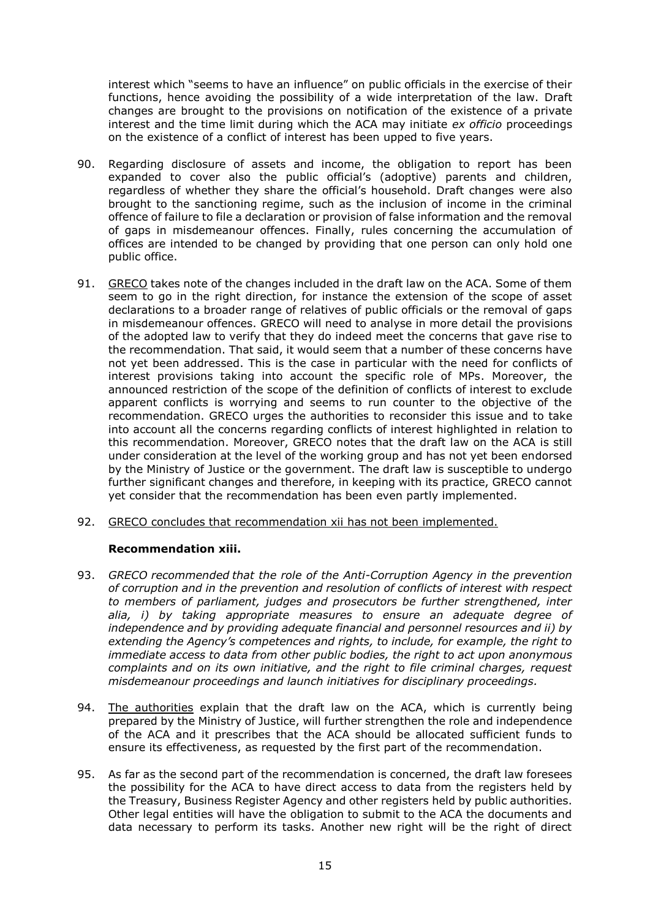interest which "seems to have an influence" on public officials in the exercise of their functions, hence avoiding the possibility of a wide interpretation of the law. Draft changes are brought to the provisions on notification of the existence of a private interest and the time limit during which the ACA may initiate *ex officio* proceedings on the existence of a conflict of interest has been upped to five years.

- 90. Regarding disclosure of assets and income, the obligation to report has been expanded to cover also the public official's (adoptive) parents and children, regardless of whether they share the official's household. Draft changes were also brought to the sanctioning regime, such as the inclusion of income in the criminal offence of failure to file a declaration or provision of false information and the removal of gaps in misdemeanour offences. Finally, rules concerning the accumulation of offices are intended to be changed by providing that one person can only hold one public office.
- 91. GRECO takes note of the changes included in the draft law on the ACA. Some of them seem to go in the right direction, for instance the extension of the scope of asset declarations to a broader range of relatives of public officials or the removal of gaps in misdemeanour offences. GRECO will need to analyse in more detail the provisions of the adopted law to verify that they do indeed meet the concerns that gave rise to the recommendation. That said, it would seem that a number of these concerns have not yet been addressed. This is the case in particular with the need for conflicts of interest provisions taking into account the specific role of MPs. Moreover, the announced restriction of the scope of the definition of conflicts of interest to exclude apparent conflicts is worrying and seems to run counter to the objective of the recommendation. GRECO urges the authorities to reconsider this issue and to take into account all the concerns regarding conflicts of interest highlighted in relation to this recommendation. Moreover, GRECO notes that the draft law on the ACA is still under consideration at the level of the working group and has not yet been endorsed by the Ministry of Justice or the government. The draft law is susceptible to undergo further significant changes and therefore, in keeping with its practice, GRECO cannot yet consider that the recommendation has been even partly implemented.
- 92. GRECO concludes that recommendation xii has not been implemented.

## **Recommendation xiii.**

- 93. *GRECO recommended that the role of the Anti-Corruption Agency in the prevention of corruption and in the prevention and resolution of conflicts of interest with respect to members of parliament, judges and prosecutors be further strengthened, inter alia, i) by taking appropriate measures to ensure an adequate degree of independence and by providing adequate financial and personnel resources and ii) by extending the Agency's competences and rights, to include, for example, the right to immediate access to data from other public bodies, the right to act upon anonymous complaints and on its own initiative, and the right to file criminal charges, request misdemeanour proceedings and launch initiatives for disciplinary proceedings.*
- 94. The authorities explain that the draft law on the ACA, which is currently being prepared by the Ministry of Justice, will further strengthen the role and independence of the ACA and it prescribes that the ACA should be allocated sufficient funds to ensure its effectiveness, as requested by the first part of the recommendation.
- 95. As far as the second part of the recommendation is concerned, the draft law foresees the possibility for the ACA to have direct access to data from the registers held by the Treasury, Business Register Agency and other registers held by public authorities. Other legal entities will have the obligation to submit to the ACA the documents and data necessary to perform its tasks. Another new right will be the right of direct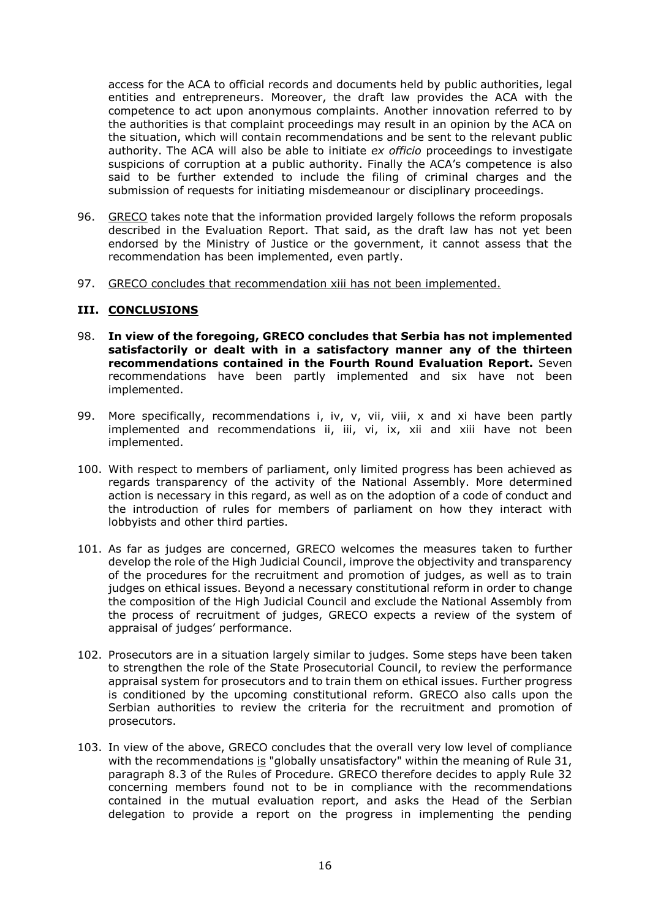access for the ACA to official records and documents held by public authorities, legal entities and entrepreneurs. Moreover, the draft law provides the ACA with the competence to act upon anonymous complaints. Another innovation referred to by the authorities is that complaint proceedings may result in an opinion by the ACA on the situation, which will contain recommendations and be sent to the relevant public authority. The ACA will also be able to initiate *ex officio* proceedings to investigate suspicions of corruption at a public authority. Finally the ACA's competence is also said to be further extended to include the filing of criminal charges and the submission of requests for initiating misdemeanour or disciplinary proceedings.

- 96. GRECO takes note that the information provided largely follows the reform proposals described in the Evaluation Report. That said, as the draft law has not yet been endorsed by the Ministry of Justice or the government, it cannot assess that the recommendation has been implemented, even partly.
- 97. GRECO concludes that recommendation xiii has not been implemented.

#### **III. CONCLUSIONS**

- 98. **In view of the foregoing, GRECO concludes that Serbia has not implemented satisfactorily or dealt with in a satisfactory manner any of the thirteen recommendations contained in the Fourth Round Evaluation Report.** Seven recommendations have been partly implemented and six have not been implemented.
- 99. More specifically, recommendations i, iv, v, vii, viii, x and xi have been partly implemented and recommendations ii, iii, vi, ix, xii and xiii have not been implemented.
- 100. With respect to members of parliament, only limited progress has been achieved as regards transparency of the activity of the National Assembly. More determined action is necessary in this regard, as well as on the adoption of a code of conduct and the introduction of rules for members of parliament on how they interact with lobbyists and other third parties.
- 101. As far as judges are concerned, GRECO welcomes the measures taken to further develop the role of the High Judicial Council, improve the objectivity and transparency of the procedures for the recruitment and promotion of judges, as well as to train judges on ethical issues. Beyond a necessary constitutional reform in order to change the composition of the High Judicial Council and exclude the National Assembly from the process of recruitment of judges, GRECO expects a review of the system of appraisal of judges' performance.
- 102. Prosecutors are in a situation largely similar to judges. Some steps have been taken to strengthen the role of the State Prosecutorial Council, to review the performance appraisal system for prosecutors and to train them on ethical issues. Further progress is conditioned by the upcoming constitutional reform. GRECO also calls upon the Serbian authorities to review the criteria for the recruitment and promotion of prosecutors.
- 103. In view of the above, GRECO concludes that the overall very low level of compliance with the recommendations is "globally unsatisfactory" within the meaning of Rule 31, paragraph 8.3 of the Rules of Procedure. GRECO therefore decides to apply Rule 32 concerning members found not to be in compliance with the recommendations contained in the mutual evaluation report, and asks the Head of the Serbian delegation to provide a report on the progress in implementing the pending